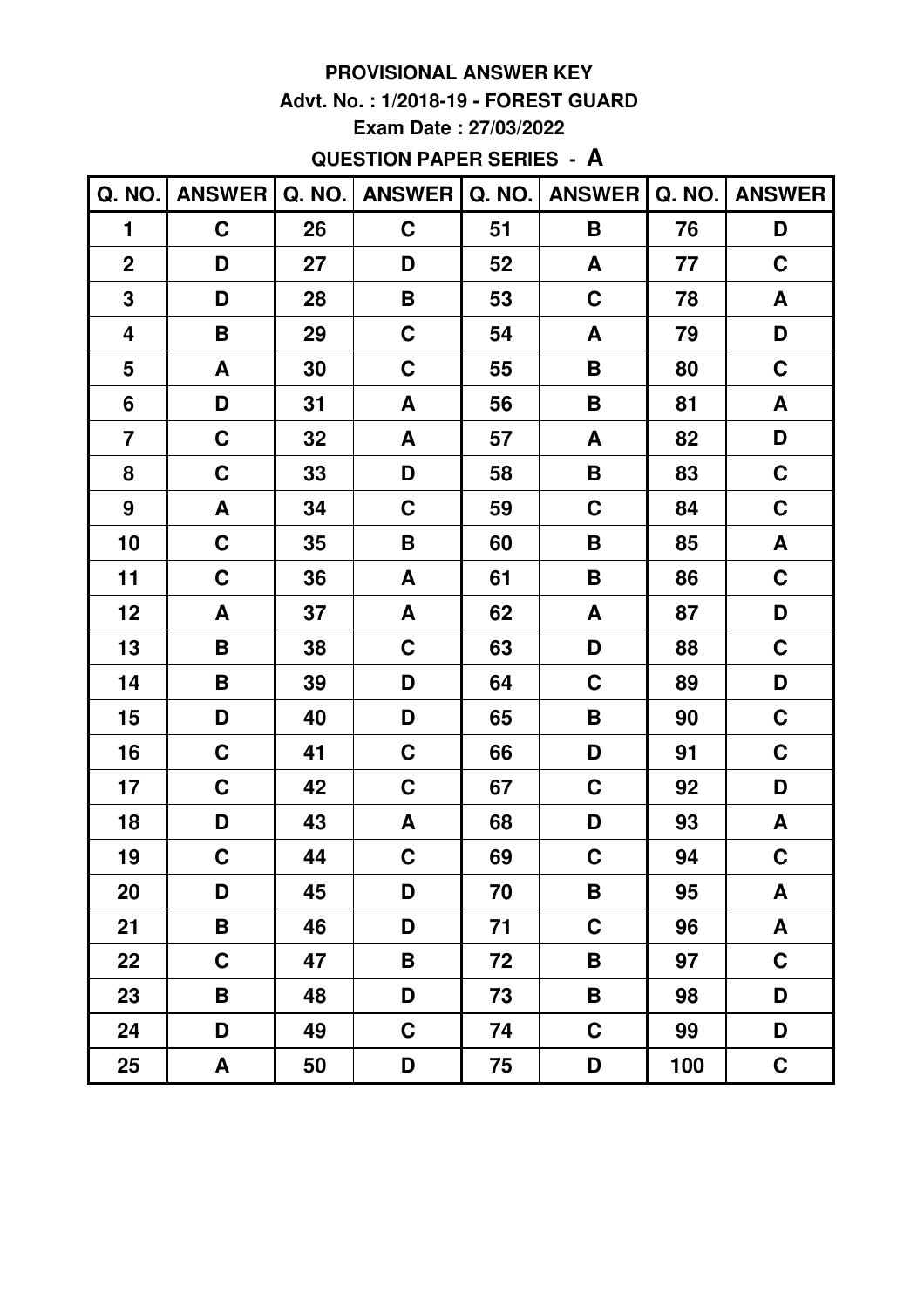## **PROVISIONAL ANSWER KEY Advt. No. : 1/2018-19 - FOREST GUARD Exam Date : 27/03/2022 QUESTION PAPER SERIES - A**

| Q. NO.           | <b>ANSWER</b> | Q. NO. | <b>ANSWER</b>      | Q. NO. | <b>ANSWER</b> | Q. NO. | <b>ANSWER</b>             |
|------------------|---------------|--------|--------------------|--------|---------------|--------|---------------------------|
| 1                | $\mathbf C$   | 26     | $\mathbf C$        | 51     | B             | 76     | D                         |
| $\mathbf 2$      | D             | 27     | D                  | 52     | A             | 77     | $\mathbf C$               |
| 3                | D             | 28     | $\pmb{\mathsf{B}}$ | 53     | $\mathbf C$   | 78     | A                         |
| 4                | B             | 29     | $\mathbf C$        | 54     | A             | 79     | D                         |
| 5                | A             | 30     | $\mathbf C$        | 55     | B             | 80     | $\mathbf C$               |
| 6                | D             | 31     | A                  | 56     | B             | 81     | A                         |
| $\overline{7}$   | $\mathbf C$   | 32     | A                  | 57     | A             | 82     | D                         |
| 8                | $\mathbf C$   | 33     | D                  | 58     | B             | 83     | $\mathbf C$               |
| $\boldsymbol{9}$ | A             | 34     | $\mathbf C$        | 59     | $\mathbf C$   | 84     | $\mathbf C$               |
| 10               | $\mathbf C$   | 35     | B                  | 60     | B             | 85     | $\boldsymbol{\mathsf{A}}$ |
| 11               | $\mathbf C$   | 36     | A                  | 61     | B             | 86     | $\mathbf C$               |
| 12               | A             | 37     | A                  | 62     | A             | 87     | D                         |
| 13               | B             | 38     | $\mathbf C$        | 63     | D             | 88     | $\mathbf C$               |
| 14               | B             | 39     | D                  | 64     | $\mathbf C$   | 89     | D                         |
| 15               | D             | 40     | D                  | 65     | B             | 90     | $\mathbf C$               |
| 16               | $\mathbf C$   | 41     | $\mathbf C$        | 66     | D             | 91     | $\mathbf C$               |
| 17               | $\mathbf C$   | 42     | $\mathbf C$        | 67     | $\mathbf C$   | 92     | D                         |
| 18               | D             | 43     | A                  | 68     | D             | 93     | A                         |
| 19               | $\mathbf C$   | 44     | $\mathbf C$        | 69     | $\mathbf C$   | 94     | $\mathbf C$               |
| 20               | D             | 45     | D                  | 70     | B             | 95     | A                         |
| 21               | Β             | 46     | D                  | 71     | $\mathbf C$   | 96     | A                         |
| 22               | $\mathbf C$   | 47     | B                  | 72     | $\, {\bf B}$  | 97     | $\mathbf C$               |
| 23               | B             | 48     | D                  | 73     | B             | 98     | D                         |
| 24               | D             | 49     | $\mathbf C$        | 74     | $\mathbf C$   | 99     | D                         |
| 25               | A             | 50     | D                  | 75     | D             | 100    | $\mathbf C$               |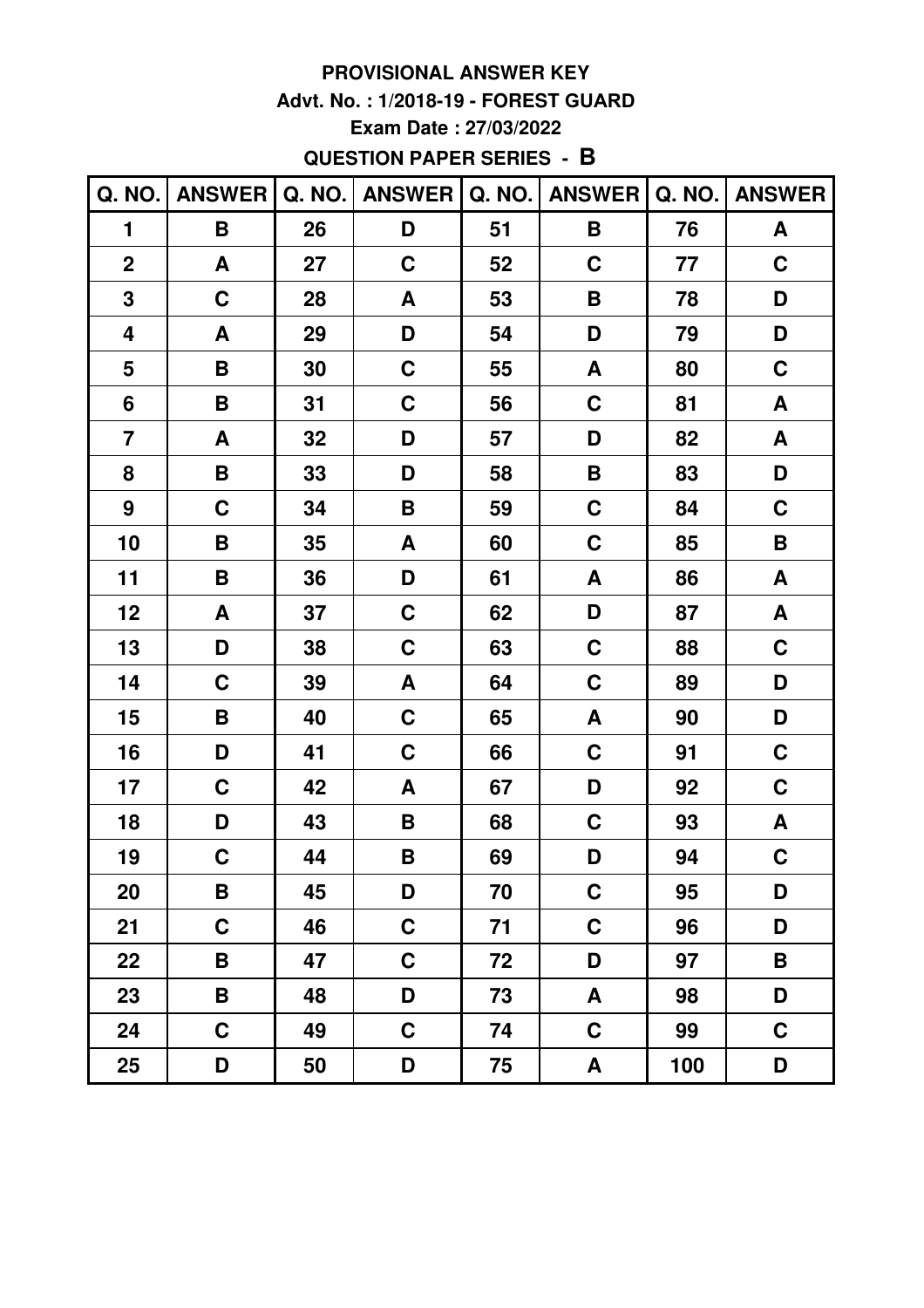### PROVISIONAL ANSWER KEY Advt. No.: 1/2018-19 - FOREST GUARD **Exam Date: 27/03/2022 QUESTION PAPER SERIES - B**

| Q. NO.           | <b>ANSWER</b> | Q. NO. | <b>ANSWER</b>    | Q. NO. | <b>ANSWER</b> | Q. NO. | <b>ANSWER</b> |
|------------------|---------------|--------|------------------|--------|---------------|--------|---------------|
| 1                | B             | 26     | D                | 51     | B             | 76     | A             |
| $\overline{2}$   | A             | 27     | $\mathbf C$      | 52     | C             | 77     | $\mathbf C$   |
| 3                | $\mathbf C$   | 28     | $\boldsymbol{A}$ | 53     | $\mathbf B$   | 78     | D             |
| 4                | A             | 29     | D                | 54     | D             | 79     | D             |
| 5                | B             | 30     | $\mathbf C$      | 55     | A             | 80     | $\mathbf C$   |
| 6                | B             | 31     | $\mathbf C$      | 56     | C             | 81     | A             |
| $\overline{7}$   | A             | 32     | D                | 57     | D             | 82     | A             |
| 8                | B             | 33     | D                | 58     | B             | 83     | D             |
| $\boldsymbol{9}$ | $\mathbf C$   | 34     | B                | 59     | $\mathbf C$   | 84     | $\mathbf C$   |
| 10               | B             | 35     | A                | 60     | $\mathbf C$   | 85     | B             |
| 11               | B             | 36     | D                | 61     | A             | 86     | A             |
| 12               | A             | 37     | $\mathbf C$      | 62     | D             | 87     | A             |
| 13               | D             | 38     | $\mathbf C$      | 63     | $\mathbf C$   | 88     | C             |
| 14               | $\mathbf C$   | 39     | A                | 64     | $\mathbf C$   | 89     | D             |
| 15               | B             | 40     | $\mathbf C$      | 65     | A             | 90     | D             |
| 16               | D             | 41     | $\mathbf C$      | 66     | $\mathbf C$   | 91     | $\mathbf C$   |
| 17               | $\mathbf C$   | 42     | A                | 67     | D             | 92     | $\mathbf C$   |
| 18               | D             | 43     | B                | 68     | $\mathbf C$   | 93     | A             |
| 19               | $\mathbf C$   | 44     | B                | 69     | D             | 94     | $\mathbf C$   |
| 20               | B             | 45     | D                | 70     | $\mathbf C$   | 95     | D             |
| 21               | $\mathbf C$   | 46     | $\mathbf C$      | 71     | $\mathbf C$   | 96     | D             |
| 22               | B             | 47     | $\mathbf C$      | 72     | D             | 97     | B             |
| 23               | B             | 48     | D                | 73     | A             | 98     | D             |
| 24               | $\mathbf C$   | 49     | $\mathbf C$      | 74     | $\mathbf C$   | 99     | $\mathbf C$   |
| 25               | D             | 50     | D                | 75     | A             | 100    | D             |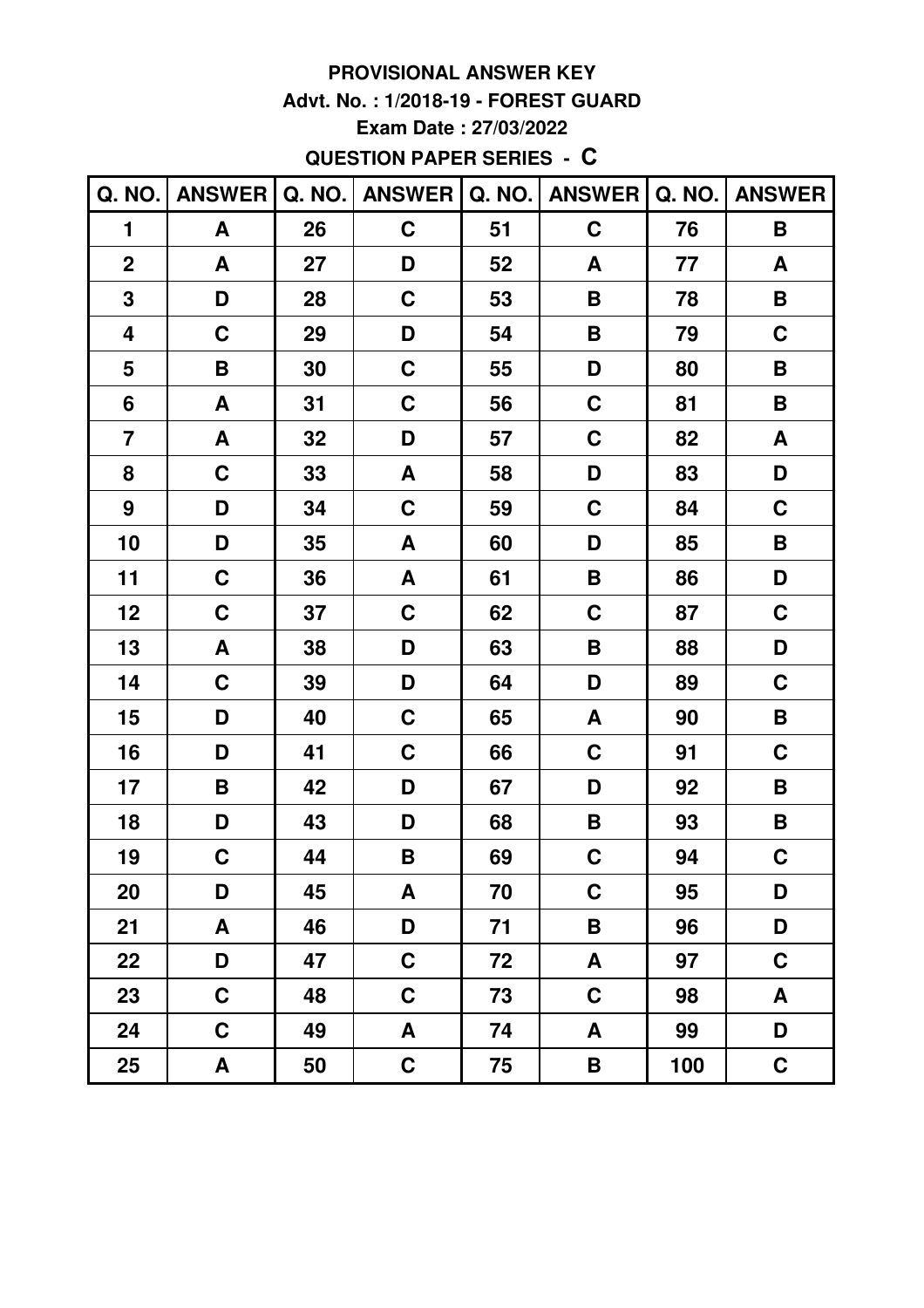### PROVISIONAL ANSWER KEY Advt. No.: 1/2018-19 - FOREST GUARD **Exam Date: 27/03/2022 QUESTION PAPER SERIES - C**

| Q. NO.           | <b>ANSWER</b> | Q. NO. | <b>ANSWER</b> | Q. NO. | <b>ANSWER</b> | Q. NO. | <b>ANSWER</b> |
|------------------|---------------|--------|---------------|--------|---------------|--------|---------------|
| 1                | A             | 26     | $\mathbf C$   | 51     | $\mathbf C$   | 76     | B             |
| $\mathbf 2$      | A             | 27     | D             | 52     | A             | 77     | A             |
| 3                | D             | 28     | $\mathbf C$   | 53     | B             | 78     | B             |
| 4                | $\mathbf C$   | 29     | D             | 54     | B             | 79     | $\mathbf C$   |
| 5                | B             | 30     | $\mathbf C$   | 55     | D             | 80     | B             |
| 6                | A             | 31     | $\mathbf C$   | 56     | $\mathbf C$   | 81     | B             |
| $\overline{7}$   | A             | 32     | D             | 57     | C             | 82     | A             |
| 8                | $\mathbf C$   | 33     | A             | 58     | D             | 83     | D             |
| $\boldsymbol{9}$ | D             | 34     | $\mathbf C$   | 59     | $\mathbf C$   | 84     | $\mathbf C$   |
| 10               | D             | 35     | A             | 60     | D             | 85     | B             |
| 11               | $\mathbf C$   | 36     | A             | 61     | B             | 86     | D             |
| 12               | $\mathbf C$   | 37     | $\mathbf C$   | 62     | $\mathbf C$   | 87     | $\mathbf C$   |
| 13               | A             | 38     | D             | 63     | B             | 88     | D             |
| 14               | $\mathbf C$   | 39     | D             | 64     | D             | 89     | $\mathbf C$   |
| 15               | D             | 40     | $\mathbf C$   | 65     | A             | 90     | B             |
| 16               | D             | 41     | $\mathbf C$   | 66     | $\mathbf C$   | 91     | C             |
| 17               | B             | 42     | D             | 67     | D             | 92     | B             |
| 18               | D             | 43     | D             | 68     | B             | 93     | B             |
| 19               | $\mathbf C$   | 44     | B             | 69     | $\mathbf C$   | 94     | $\mathbf C$   |
| 20               | D             | 45     | A             | 70     | $\mathbf C$   | 95     | D             |
| 21               | A             | 46     | D             | 71     | B             | 96     | D             |
| 22               | D             | 47     | $\mathbf C$   | 72     | A             | 97     | $\mathbf C$   |
| 23               | $\mathbf C$   | 48     | C             | 73     | $\mathbf C$   | 98     | A             |
| 24               | $\mathbf C$   | 49     | A             | 74     | A             | 99     | D             |
| 25               | A             | 50     | $\mathbf C$   | 75     | B             | 100    | $\mathbf C$   |